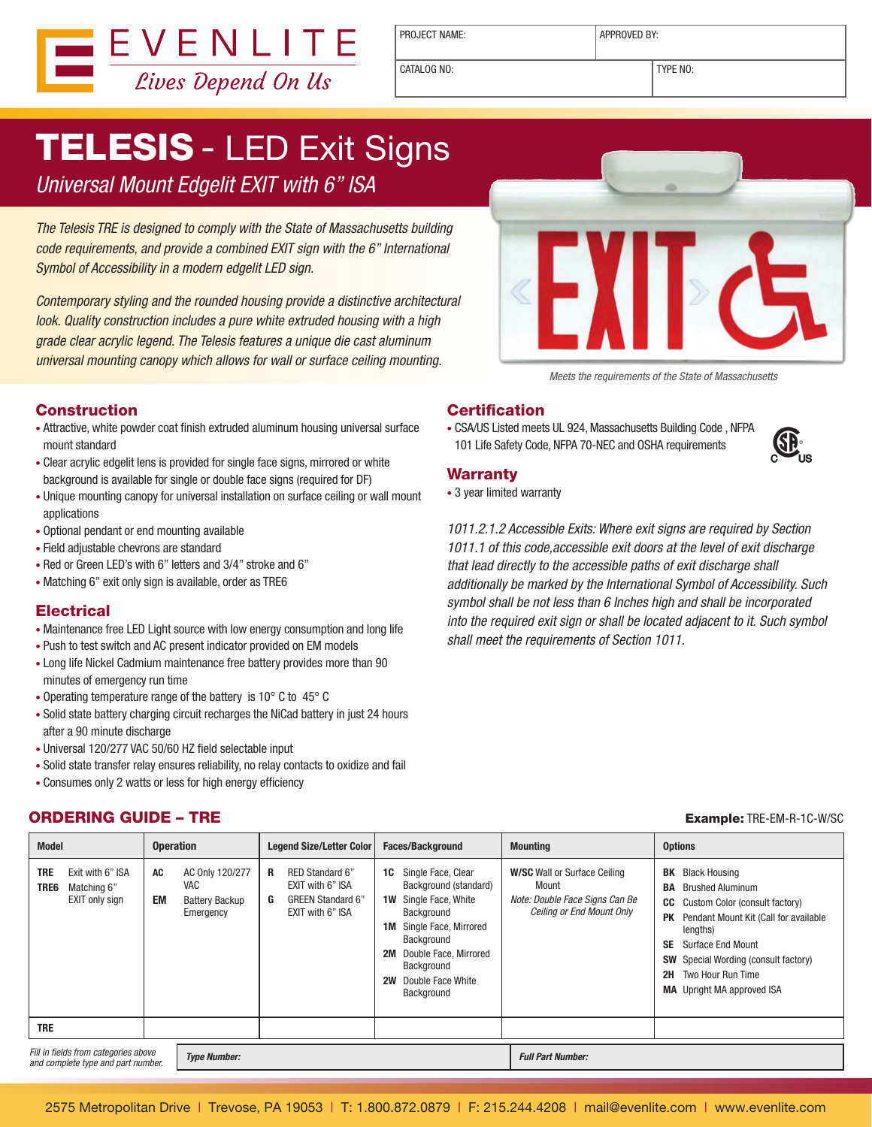

PROJECT NAME:  $\vert$  APPROVED BY:

CATALOG NO: TYPE NO:

# **TELESIS - LED Exit Signs**

Universal Mount Edgelit EXIT with 6" ISA

The Telesis TRE is designed to comply with the State of Massachusetts building code requirements, and provide a combined EXIT sign with the 6" International Symbol of Accessibility in a modern edgelit LED sign.

Contemporary styling and the rounded housing provide a distinctive architectural look. Quality construction includes a pure white extruded housing with a high grade clear acrylic legend. The Telesis features a unique die cast aluminum universal mounting canopy which allows for wall or surface ceiling mounting.



Meets the requirements of the State of Massachusetts

#### **Construction**

- Attractive, white powder coat finish extruded aluminum housing universal surface mount standard
- Clear acrylic edgelit lens is provided for single face signs, mirrored or white background is available for single or double face signs (required for DF)
- Unique mounting canopy for universal installation on surface ceiling or wall mount applications
- Optional pendant or end mounting available
- • Field adjustable chevrons are standard
- Red or Green LED's with 6" letters and 3/4" stroke and 6"
- Matching 6" exit only sign is available, order as TRE6

#### **Electrical**

- Maintenance free LED Light source with low energy consumption and long life
- Push to test switch and AC present indicator provided on EM models
- Long life Nickel Cadmium maintenance free battery provides more than 90 minutes of emergency run time
- Operating temperature range of the battery is 10° C to 45° C
- Solid state battery charging circuit recharges the NiCad battery in just 24 hours after a 90 minute discharge
- • Universal 120/277 VAC 50/60 HZ field selectable input
- Solid state transfer relay ensures reliability, no relay contacts to oxidize and fail
- Consumes only 2 watts or less for high energy efficiency

#### **ORDERING GUIDE – TRE Example: TRE-EM-R-1C-W/SC**

### **Certification**

• CSA/US Listed meets UL 924, Massachusetts Building Code, NFPA 101 Life Safety Code, NFPA 70-NEC and OSHA requirements



#### Warranty

• 3 year limited warranty

1011.2.1.2 Accessible Exits: Where exit signs are required by Section 1011.1 of this code,accessible exit doors at the level of exit discharge that lead directly to the accessible paths of exit discharge shall additionally be marked by the International Symbol of Accessibility. Such symbol shall be not less than 6 Inches high and shall be incorporated into the required exit sign or shall be located adjacent to it. Such symbol shall meet the requirements of Section 1011.

| <b>Model</b> |                                                                                       | <b>Operation</b> |                                                                     | Legend Size/Letter Color |                                                                                     | <b>Faces/Background</b>           |                                                                                                                                                                                                  | <b>Mounting</b>                                                                                             |                                   | <b>Options</b>                                                                                                                                                                                                                                                                        |  |
|--------------|---------------------------------------------------------------------------------------|------------------|---------------------------------------------------------------------|--------------------------|-------------------------------------------------------------------------------------|-----------------------------------|--------------------------------------------------------------------------------------------------------------------------------------------------------------------------------------------------|-------------------------------------------------------------------------------------------------------------|-----------------------------------|---------------------------------------------------------------------------------------------------------------------------------------------------------------------------------------------------------------------------------------------------------------------------------------|--|
|              | <b>TRE</b><br>Exit with 6" ISA<br>TRE6<br>Matching 6"<br>EXIT only sign<br><b>TRE</b> | AC<br><b>EM</b>  | AC Only 120/277<br><b>VAC</b><br><b>Battery Backup</b><br>Emergency | R<br>G                   | RED Standard 6"<br>EXIT with 6" ISA<br><b>GREEN Standard 6"</b><br>EXIT with 6" ISA | 1C<br>1W<br>1M<br>2M<br><b>2W</b> | Single Face, Clear<br>Background (standard)<br>Single Face, White<br>Background<br>Single Face, Mirrored<br>Background<br>Double Face, Mirrored<br>Background<br>Double Face White<br>Background | <b>W/SC</b> Wall or Surface Ceiling<br>Mount<br>Note: Double Face Signs Can Be<br>Ceiling or End Mount Only | BK<br>BA<br>PK<br><b>SE</b><br>2H | <b>Black Housing</b><br><b>Brushed Aluminum</b><br><b>CC</b> Custom Color (consult factory)<br>Pendant Mount Kit (Call for available<br>lengths)<br><b>Surface End Mount</b><br><b>SW</b> Special Wording (consult factory)<br>Two Hour Run Time<br><b>MA</b> Upright MA approved ISA |  |
|              | Fill in fields from categories above<br>and complete type and part number.            |                  | <b>Type Number:</b>                                                 |                          |                                                                                     |                                   |                                                                                                                                                                                                  | <b>Full Part Number:</b>                                                                                    |                                   |                                                                                                                                                                                                                                                                                       |  |